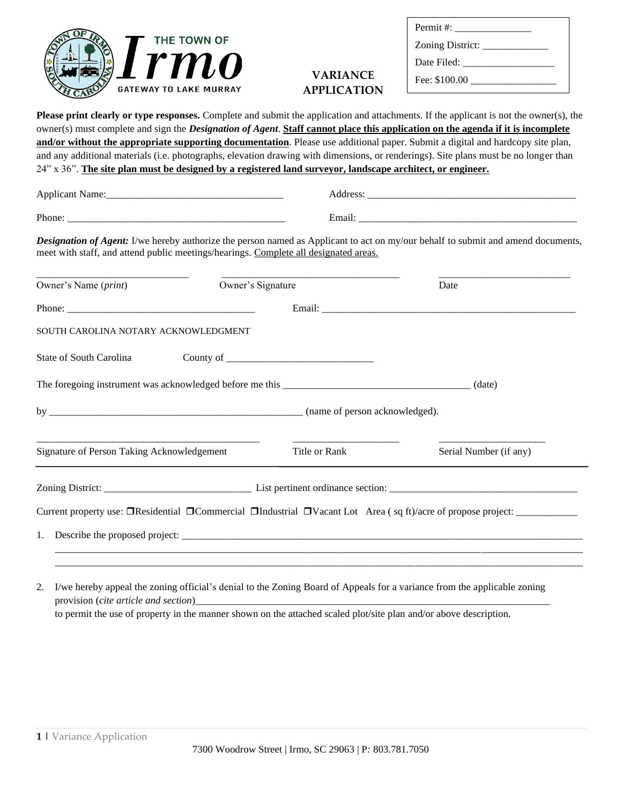

## **VARIANCE APPLICATION**

| Permit #:   |
|-------------|
|             |
| Date Filed: |
|             |

| <b>Please print clearly or type responses.</b> Complete and submit the application and attachments. If the applicant is not the owner(s), the                                                                            |                   |                        |
|--------------------------------------------------------------------------------------------------------------------------------------------------------------------------------------------------------------------------|-------------------|------------------------|
| owner(s) must complete and sign the Designation of Agent. Staff cannot place this application on the agenda if it is incomplete                                                                                          |                   |                        |
| and/or without the appropriate supporting documentation. Please use additional paper. Submit a digital and hardcopy site plan,                                                                                           |                   |                        |
| and any additional materials (i.e. photographs, elevation drawing with dimensions, or renderings). Site plans must be no longer than                                                                                     |                   |                        |
| 24" x 36". The site plan must be designed by a registered land surveyor, landscape architect, or engineer.                                                                                                               |                   |                        |
|                                                                                                                                                                                                                          |                   |                        |
|                                                                                                                                                                                                                          |                   |                        |
| Designation of Agent: I/we hereby authorize the person named as Applicant to act on my/our behalf to submit and amend documents,<br>meet with staff, and attend public meetings/hearings. Complete all designated areas. |                   |                        |
| Owner's Name ( <i>print</i> )                                                                                                                                                                                            | Owner's Signature | Date                   |
|                                                                                                                                                                                                                          |                   |                        |
| SOUTH CAROLINA NOTARY ACKNOWLEDGMENT                                                                                                                                                                                     |                   |                        |
| State of South Carolina                                                                                                                                                                                                  |                   |                        |
|                                                                                                                                                                                                                          |                   |                        |
|                                                                                                                                                                                                                          |                   |                        |
| Signature of Person Taking Acknowledgement                                                                                                                                                                               | Title or Rank     | Serial Number (if any) |
|                                                                                                                                                                                                                          |                   |                        |
|                                                                                                                                                                                                                          |                   |                        |
|                                                                                                                                                                                                                          |                   |                        |
|                                                                                                                                                                                                                          |                   |                        |
|                                                                                                                                                                                                                          |                   |                        |

2. I/we hereby appeal the zoning official's denial to the Zoning Board of Appeals for a variance from the applicable zoning provision (*cite article and section*)\_ to permit the use of property in the manner shown on the attached scaled plot/site plan and/or above description.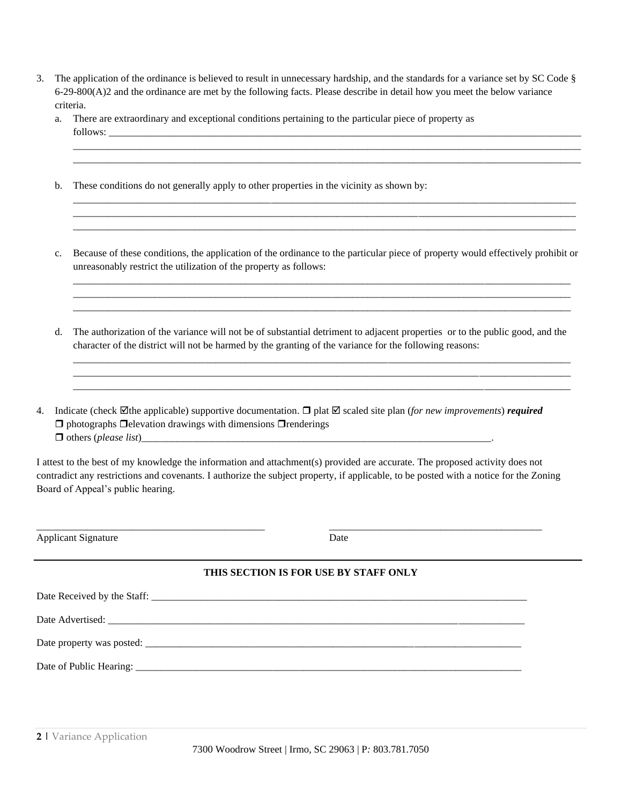| 3. The application of the ordinance is believed to result in unnecessary hardship, and the standards for a variance set by SC Code $\S$ |
|-----------------------------------------------------------------------------------------------------------------------------------------|
| $6-29-800(A)2$ and the ordinance are met by the following facts. Please describe in detail how you meet the below variance              |
| criteria.                                                                                                                               |

|    | a.             | There are extraordinary and exceptional conditions pertaining to the particular piece of property as                                                                                                                                                                                                       |
|----|----------------|------------------------------------------------------------------------------------------------------------------------------------------------------------------------------------------------------------------------------------------------------------------------------------------------------------|
|    | b.             | These conditions do not generally apply to other properties in the vicinity as shown by:                                                                                                                                                                                                                   |
|    | $\mathbf{c}$ . | Because of these conditions, the application of the ordinance to the particular piece of property would effectively prohibit or<br>unreasonably restrict the utilization of the property as follows:                                                                                                       |
|    | d.             | The authorization of the variance will not be of substantial detriment to adjacent properties or to the public good, and the<br>character of the district will not be harmed by the granting of the variance for the following reasons:                                                                    |
| 4. |                | Indicate (check $\boxtimes$ the applicable) supportive documentation. $\Box$ plat $\boxtimes$ scaled site plan (for new improvements) required<br>$\Box$ photographs $\Box$ elevation drawings with dimensions $\Box$ renderings                                                                           |
|    |                | I attest to the best of my knowledge the information and attachment(s) provided are accurate. The proposed activity does not<br>contradict any restrictions and covenants. I authorize the subject property, if applicable, to be posted with a notice for the Zoning<br>Board of Appeal's public hearing. |
|    |                | <b>Applicant Signature</b><br>Date                                                                                                                                                                                                                                                                         |
|    |                | THIS SECTION IS FOR USE BY STAFF ONLY                                                                                                                                                                                                                                                                      |
|    |                |                                                                                                                                                                                                                                                                                                            |
|    |                |                                                                                                                                                                                                                                                                                                            |
|    |                |                                                                                                                                                                                                                                                                                                            |
|    |                |                                                                                                                                                                                                                                                                                                            |

 $\overline{\phantom{0}}$ 

7300 Woodrow Street | Irmo, SC 29063 | P*:* 803.781.7050